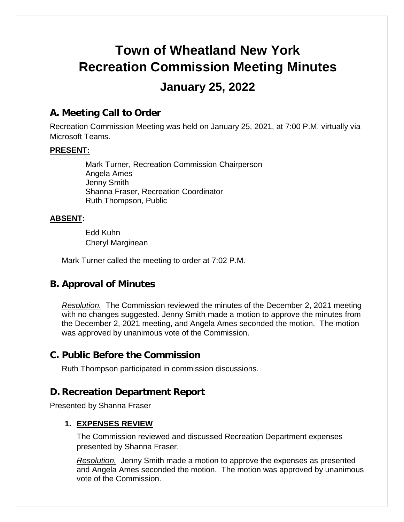# **Town of Wheatland New York Recreation Commission Meeting Minutes January 25, 2022**

# **A. Meeting Call to Order**

Recreation Commission Meeting was held on January 25, 2021, at 7:00 P.M. virtually via Microsoft Teams.

#### **PRESENT:**

Mark Turner, Recreation Commission Chairperson Angela Ames Jenny Smith Shanna Fraser, Recreation Coordinator Ruth Thompson, Public

#### **ABSENT:**

Edd Kuhn Cheryl Marginean

Mark Turner called the meeting to order at 7:02 P.M.

# **B. Approval of Minutes**

*Resolution.* The Commission reviewed the minutes of the December 2, 2021 meeting with no changes suggested. Jenny Smith made a motion to approve the minutes from the December 2, 2021 meeting, and Angela Ames seconded the motion. The motion was approved by unanimous vote of the Commission.

## **C. Public Before the Commission**

Ruth Thompson participated in commission discussions.

## **D. Recreation Department Report**

Presented by Shanna Fraser

#### **1. EXPENSES REVIEW**

The Commission reviewed and discussed Recreation Department expenses presented by Shanna Fraser.

*Resolution.* Jenny Smith made a motion to approve the expenses as presented and Angela Ames seconded the motion. The motion was approved by unanimous vote of the Commission.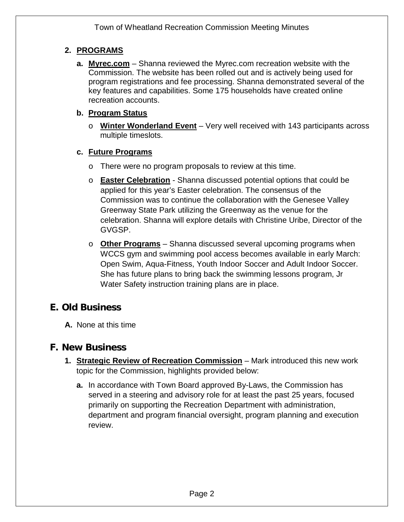## **2. PROGRAMS**

**a. Myrec.com** – Shanna reviewed the Myrec.com recreation website with the Commission. The website has been rolled out and is actively being used for program registrations and fee processing. Shanna demonstrated several of the key features and capabilities. Some 175 households have created online recreation accounts.

#### **b. Program Status**

o **Winter Wonderland Event** – Very well received with 143 participants across multiple timeslots.

## **c. Future Programs**

- o There were no program proposals to review at this time.
- o **Easter Celebration** Shanna discussed potential options that could be applied for this year's Easter celebration. The consensus of the Commission was to continue the collaboration with the Genesee Valley Greenway State Park utilizing the Greenway as the venue for the celebration. Shanna will explore details with Christine Uribe, Director of the GVGSP.
- o **Other Programs** Shanna discussed several upcoming programs when WCCS gym and swimming pool access becomes available in early March: Open Swim, Aqua-Fitness, Youth Indoor Soccer and Adult Indoor Soccer. She has future plans to bring back the swimming lessons program, Jr Water Safety instruction training plans are in place.

# **E. Old Business**

**A.** None at this time

# **F. New Business**

- **1. Strategic Review of Recreation Commission** Mark introduced this new work topic for the Commission, highlights provided below:
	- **a.** In accordance with Town Board approved By-Laws, the Commission has served in a steering and advisory role for at least the past 25 years, focused primarily on supporting the Recreation Department with administration, department and program financial oversight, program planning and execution review.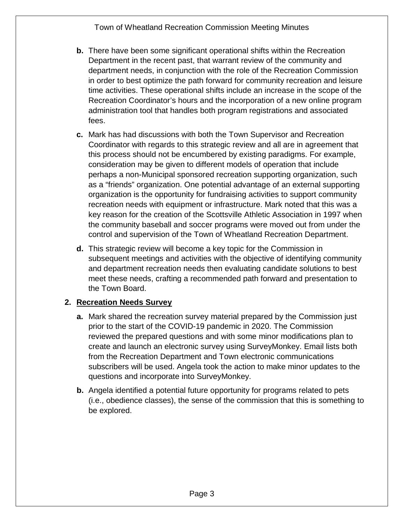Town of Wheatland Recreation Commission Meeting Minutes

- **b.** There have been some significant operational shifts within the Recreation Department in the recent past, that warrant review of the community and department needs, in conjunction with the role of the Recreation Commission in order to best optimize the path forward for community recreation and leisure time activities. These operational shifts include an increase in the scope of the Recreation Coordinator's hours and the incorporation of a new online program administration tool that handles both program registrations and associated fees.
- **c.** Mark has had discussions with both the Town Supervisor and Recreation Coordinator with regards to this strategic review and all are in agreement that this process should not be encumbered by existing paradigms. For example, consideration may be given to different models of operation that include perhaps a non-Municipal sponsored recreation supporting organization, such as a "friends" organization. One potential advantage of an external supporting organization is the opportunity for fundraising activities to support community recreation needs with equipment or infrastructure. Mark noted that this was a key reason for the creation of the Scottsville Athletic Association in 1997 when the community baseball and soccer programs were moved out from under the control and supervision of the Town of Wheatland Recreation Department.
- **d.** This strategic review will become a key topic for the Commission in subsequent meetings and activities with the objective of identifying community and department recreation needs then evaluating candidate solutions to best meet these needs, crafting a recommended path forward and presentation to the Town Board.

#### **2. Recreation Needs Survey**

- **a.** Mark shared the recreation survey material prepared by the Commission just prior to the start of the COVID-19 pandemic in 2020. The Commission reviewed the prepared questions and with some minor modifications plan to create and launch an electronic survey using SurveyMonkey. Email lists both from the Recreation Department and Town electronic communications subscribers will be used. Angela took the action to make minor updates to the questions and incorporate into SurveyMonkey.
- **b.** Angela identified a potential future opportunity for programs related to pets (i.e., obedience classes), the sense of the commission that this is something to be explored.